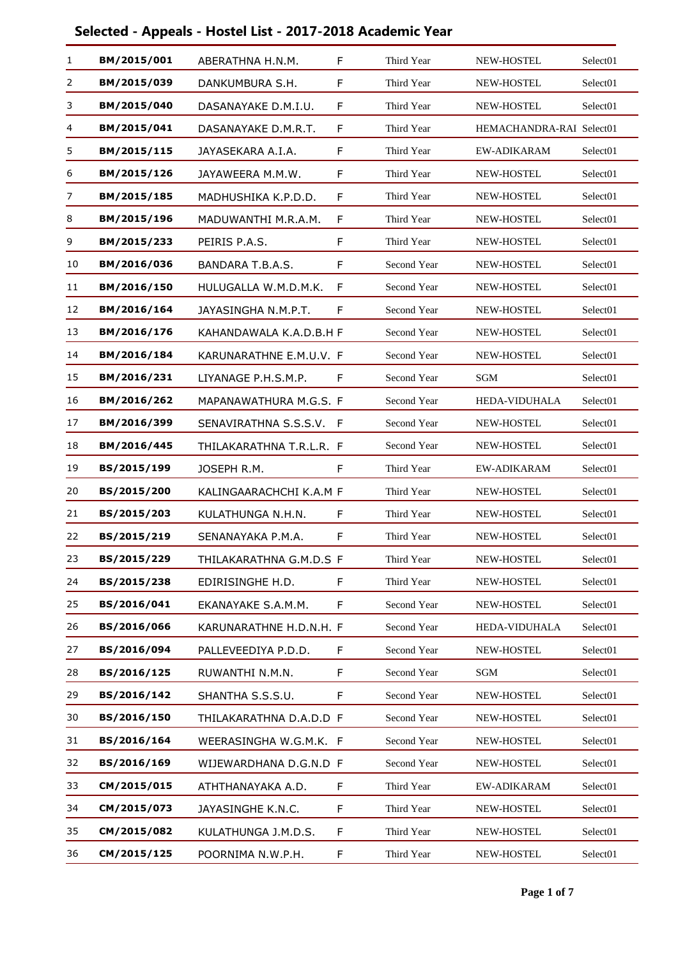| 1  | BM/2015/001 | ABERATHNA H.N.M.         | F   | Third Year  | NEW-HOSTEL               | Select <sub>01</sub> |
|----|-------------|--------------------------|-----|-------------|--------------------------|----------------------|
| 2  | BM/2015/039 | DANKUMBURA S.H.          | F   | Third Year  | NEW-HOSTEL               | Select <sub>01</sub> |
| 3  | BM/2015/040 | DASANAYAKE D.M.I.U.      | F   | Third Year  | NEW-HOSTEL               | Select <sub>01</sub> |
| 4  | BM/2015/041 | DASANAYAKE D.M.R.T.      | F   | Third Year  | HEMACHANDRA-RAI Select01 |                      |
| 5  | BM/2015/115 | JAYASEKARA A.I.A.        | F   | Third Year  | EW-ADIKARAM              | Select <sub>01</sub> |
| 6  | BM/2015/126 | JAYAWEERA M.M.W.         | F   | Third Year  | <b>NEW-HOSTEL</b>        | Select <sub>01</sub> |
| 7  | BM/2015/185 | MADHUSHIKA K.P.D.D.      | F   | Third Year  | NEW-HOSTEL               | Select01             |
| 8  | BM/2015/196 | MADUWANTHI M.R.A.M.      | F   | Third Year  | <b>NEW-HOSTEL</b>        | Select <sub>01</sub> |
| 9  | BM/2015/233 | PEIRIS P.A.S.            | F   | Third Year  | <b>NEW-HOSTEL</b>        | Select01             |
| 10 | BM/2016/036 | BANDARA T.B.A.S.         | F   | Second Year | NEW-HOSTEL               | Select01             |
| 11 | BM/2016/150 | HULUGALLA W.M.D.M.K.     | F   | Second Year | NEW-HOSTEL               | Select01             |
| 12 | BM/2016/164 | JAYASINGHA N.M.P.T.      | F   | Second Year | <b>NEW-HOSTEL</b>        | Select <sub>01</sub> |
| 13 | BM/2016/176 | KAHANDAWALA K.A.D.B.H F  |     | Second Year | NEW-HOSTEL               | Select <sub>01</sub> |
| 14 | BM/2016/184 | KARUNARATHNE E.M.U.V. F  |     | Second Year | NEW-HOSTEL               | Select01             |
| 15 | BM/2016/231 | LIYANAGE P.H.S.M.P.      | F   | Second Year | SGM                      | Select01             |
| 16 | BM/2016/262 | MAPANAWATHURA M.G.S. F   |     | Second Year | HEDA-VIDUHALA            | Select01             |
| 17 | BM/2016/399 | SENAVIRATHNA S.S.S.V.    | - F | Second Year | NEW-HOSTEL               | Select01             |
| 18 | BM/2016/445 | THILAKARATHNA T.R.L.R. F |     | Second Year | <b>NEW-HOSTEL</b>        | Select <sub>01</sub> |
| 19 | BS/2015/199 | JOSEPH R.M.              | F   | Third Year  | <b>EW-ADIKARAM</b>       | Select <sub>01</sub> |
| 20 | BS/2015/200 | KALINGAARACHCHI K.A.M F  |     | Third Year  | NEW-HOSTEL               | Select <sub>01</sub> |
| 21 | BS/2015/203 | KULATHUNGA N.H.N.        | F   | Third Year  | NEW-HOSTEL               | Select <sub>01</sub> |
| 22 | BS/2015/219 | SENANAYAKA P.M.A.        | F   | Third Year  | NEW-HOSTEL               | Select01             |
| 23 | BS/2015/229 | THILAKARATHNA G.M.D.S F  |     | Third Year  | NEW-HOSTEL               | Select <sub>01</sub> |
| 24 | BS/2015/238 | EDIRISINGHE H.D.         | F   | Third Year  | NEW-HOSTEL               | Select01             |
| 25 | BS/2016/041 | EKANAYAKE S.A.M.M.       | F   | Second Year | NEW-HOSTEL               | Select01             |
| 26 | BS/2016/066 | KARUNARATHNE H.D.N.H. F  |     | Second Year | <b>HEDA-VIDUHALA</b>     | Select01             |
| 27 | BS/2016/094 | PALLEVEEDIYA P.D.D.      | F   | Second Year | NEW-HOSTEL               | Select <sub>01</sub> |
| 28 | BS/2016/125 | RUWANTHI N.M.N.          | F   | Second Year | SGM                      | Select <sub>01</sub> |
| 29 | BS/2016/142 | SHANTHA S.S.S.U.         | F   | Second Year | NEW-HOSTEL               | Select <sub>01</sub> |
| 30 | BS/2016/150 | THILAKARATHNA D.A.D.D F  |     | Second Year | NEW-HOSTEL               | Select <sub>01</sub> |
| 31 | BS/2016/164 | WEERASINGHA W.G.M.K. F   |     | Second Year | NEW-HOSTEL               | Select <sub>01</sub> |
| 32 | BS/2016/169 | WIJEWARDHANA D.G.N.D F   |     | Second Year | NEW-HOSTEL               | Select01             |
| 33 | CM/2015/015 | ATHTHANAYAKA A.D.        | F   | Third Year  | EW-ADIKARAM              | Select <sub>01</sub> |
| 34 | CM/2015/073 | JAYASINGHE K.N.C.        | F   | Third Year  | NEW-HOSTEL               | Select <sub>01</sub> |
| 35 | CM/2015/082 | KULATHUNGA J.M.D.S.      | F   | Third Year  | NEW-HOSTEL               | Select01             |
| 36 | CM/2015/125 | POORNIMA N.W.P.H.        | F   | Third Year  | NEW-HOSTEL               | Select01             |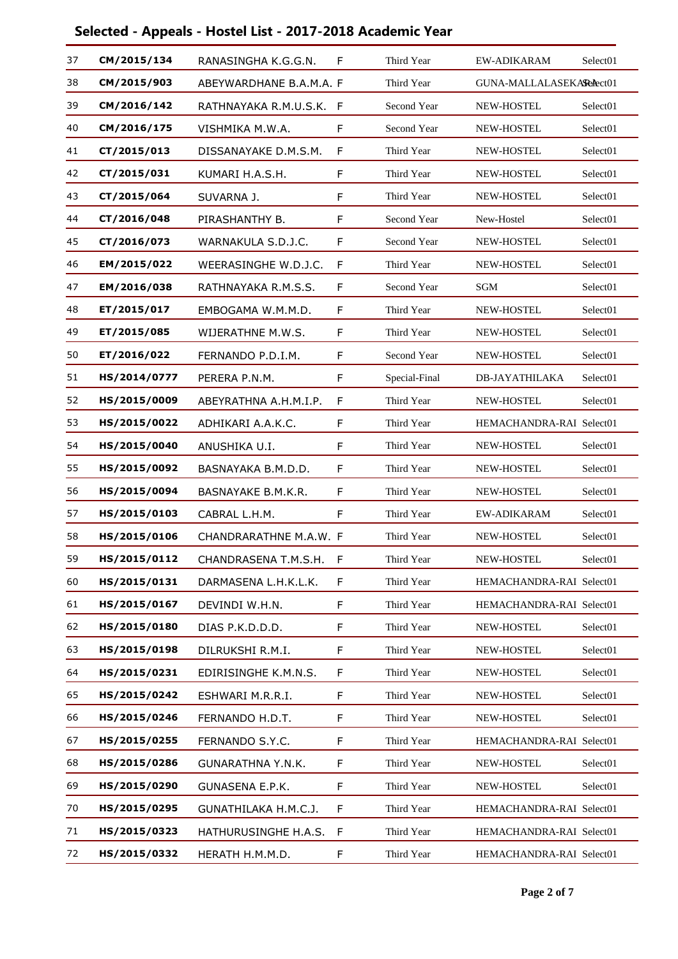| 37 | CM/2015/134  | RANASINGHA K.G.G.N.      | F | Third Year    | EW-ADIKARAM              | Select <sub>01</sub> |
|----|--------------|--------------------------|---|---------------|--------------------------|----------------------|
| 38 | CM/2015/903  | ABEYWARDHANE B.A.M.A. F  |   | Third Year    | GUNA-MALLALASEKARAect01  |                      |
| 39 | CM/2016/142  | RATHNAYAKA R.M.U.S.K.    | F | Second Year   | <b>NEW-HOSTEL</b>        | Select <sub>01</sub> |
| 40 | CM/2016/175  | VISHMIKA M.W.A.          | F | Second Year   | NEW-HOSTEL               | Select <sub>01</sub> |
| 41 | CT/2015/013  | DISSANAYAKE D.M.S.M.     | F | Third Year    | NEW-HOSTEL               | Select <sub>01</sub> |
| 42 | CT/2015/031  | KUMARI H.A.S.H.          | F | Third Year    | <b>NEW-HOSTEL</b>        | Select <sub>01</sub> |
| 43 | CT/2015/064  | SUVARNA J.               | F | Third Year    | NEW-HOSTEL               | Select <sub>01</sub> |
| 44 | CT/2016/048  | PIRASHANTHY B.           | F | Second Year   | New-Hostel               | Select <sub>01</sub> |
| 45 | CT/2016/073  | WARNAKULA S.D.J.C.       | F | Second Year   | <b>NEW-HOSTEL</b>        | Select01             |
| 46 | EM/2015/022  | WEERASINGHE W.D.J.C.     | F | Third Year    | NEW-HOSTEL               | Select01             |
| 47 | EM/2016/038  | RATHNAYAKA R.M.S.S.      | F | Second Year   | <b>SGM</b>               | Select <sub>01</sub> |
| 48 | ET/2015/017  | EMBOGAMA W.M.M.D.        | F | Third Year    | NEW-HOSTEL               | Select <sub>01</sub> |
| 49 | ET/2015/085  | WIJERATHNE M.W.S.        | F | Third Year    | <b>NEW-HOSTEL</b>        | Select <sub>01</sub> |
| 50 | ET/2016/022  | FERNANDO P.D.I.M.        | F | Second Year   | <b>NEW-HOSTEL</b>        | Select <sub>01</sub> |
| 51 | HS/2014/0777 | PERERA P.N.M.            | F | Special-Final | <b>DB-JAYATHILAKA</b>    | Select01             |
| 52 | HS/2015/0009 | ABEYRATHNA A.H.M.I.P.    | F | Third Year    | NEW-HOSTEL               | Select <sub>01</sub> |
| 53 | HS/2015/0022 | ADHIKARI A.A.K.C.        | F | Third Year    | HEMACHANDRA-RAI Select01 |                      |
| 54 | HS/2015/0040 | ANUSHIKA U.I.            | F | Third Year    | <b>NEW-HOSTEL</b>        | Select <sub>01</sub> |
| 55 | HS/2015/0092 | BASNAYAKA B.M.D.D.       | F | Third Year    | NEW-HOSTEL               | Select <sub>01</sub> |
| 56 | HS/2015/0094 | BASNAYAKE B.M.K.R.       | F | Third Year    | NEW-HOSTEL               | Select <sub>01</sub> |
| 57 | HS/2015/0103 | CABRAL L.H.M.            | F | Third Year    | <b>EW-ADIKARAM</b>       | Select01             |
| 58 | HS/2015/0106 | CHANDRARATHNE M.A.W. F   |   | Third Year    | NEW-HOSTEL               | Select01             |
| 59 | HS/2015/0112 | CHANDRASENA T.M.S.H. F   |   | Third Year    | NEW-HOSTEL               | Select01             |
| 60 | HS/2015/0131 | DARMASENA L.H.K.L.K.     | F | Third Year    | HEMACHANDRA-RAI Select01 |                      |
| 61 | HS/2015/0167 | DEVINDI W.H.N.           | F | Third Year    | HEMACHANDRA-RAI Select01 |                      |
| 62 | HS/2015/0180 | DIAS P.K.D.D.D.          | F | Third Year    | NEW-HOSTEL               | Select01             |
| 63 | HS/2015/0198 | DILRUKSHI R.M.I.         | F | Third Year    | NEW-HOSTEL               | Select01             |
| 64 | HS/2015/0231 | EDIRISINGHE K.M.N.S.     | F | Third Year    | NEW-HOSTEL               | Select01             |
| 65 | HS/2015/0242 | ESHWARI M.R.R.I.         | F | Third Year    | NEW-HOSTEL               | Select <sub>01</sub> |
| 66 | HS/2015/0246 | FERNANDO H.D.T.          | F | Third Year    | NEW-HOSTEL               | Select <sub>01</sub> |
| 67 | HS/2015/0255 | FERNANDO S.Y.C.          | F | Third Year    | HEMACHANDRA-RAI Select01 |                      |
| 68 | HS/2015/0286 | <b>GUNARATHNA Y.N.K.</b> | F | Third Year    | NEW-HOSTEL               | Select01             |
| 69 | HS/2015/0290 | GUNASENA E.P.K.          | F | Third Year    | NEW-HOSTEL               | Select01             |
| 70 | HS/2015/0295 | GUNATHILAKA H.M.C.J.     | F | Third Year    | HEMACHANDRA-RAI Select01 |                      |
| 71 | HS/2015/0323 | HATHURUSINGHE H.A.S.     | F | Third Year    | HEMACHANDRA-RAI Select01 |                      |
| 72 | HS/2015/0332 | HERATH H.M.M.D.          | F | Third Year    | HEMACHANDRA-RAI Select01 |                      |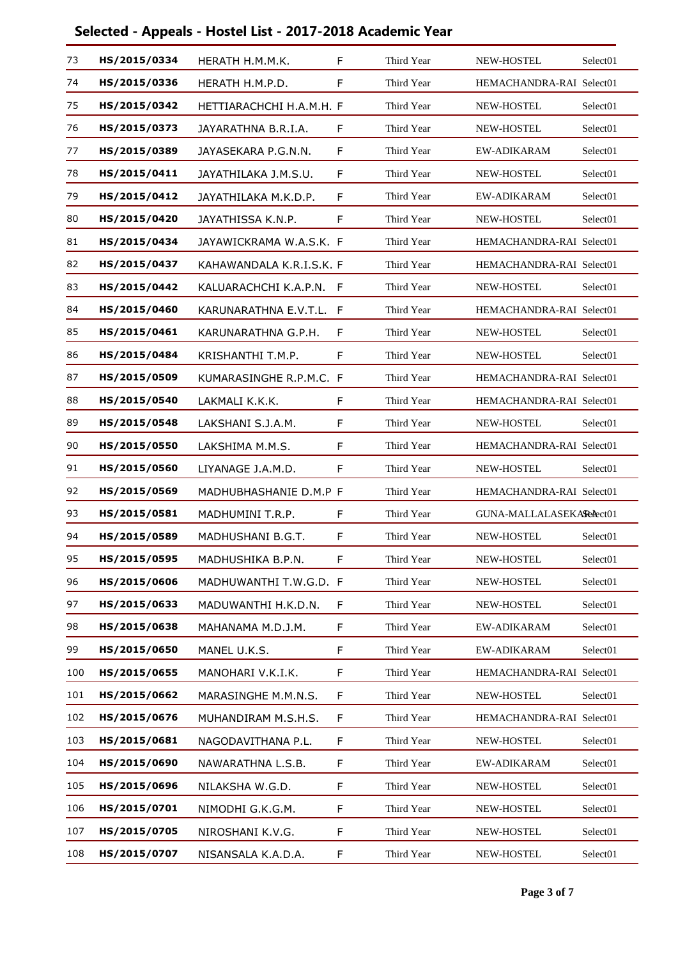| 73  | HS/2015/0334 | HERATH H.M.M.K.          | F  | Third Year | NEW-HOSTEL               | Select <sub>01</sub> |
|-----|--------------|--------------------------|----|------------|--------------------------|----------------------|
| 74  | HS/2015/0336 | HERATH H.M.P.D.          | F  | Third Year | HEMACHANDRA-RAI Select01 |                      |
| 75  | HS/2015/0342 | HETTIARACHCHI H.A.M.H. F |    | Third Year | <b>NEW-HOSTEL</b>        | Select <sub>01</sub> |
| 76  | HS/2015/0373 | JAYARATHNA B.R.I.A.      | F  | Third Year | <b>NEW-HOSTEL</b>        | Select <sub>01</sub> |
| 77  | HS/2015/0389 | JAYASEKARA P.G.N.N.      | F  | Third Year | EW-ADIKARAM              | Select01             |
| 78  | HS/2015/0411 | JAYATHILAKA J.M.S.U.     | F  | Third Year | <b>NEW-HOSTEL</b>        | Select <sub>01</sub> |
| 79  | HS/2015/0412 | JAYATHILAKA M.K.D.P.     | F  | Third Year | <b>EW-ADIKARAM</b>       | Select <sub>01</sub> |
| 80  | HS/2015/0420 | JAYATHISSA K.N.P.        | F  | Third Year | NEW-HOSTEL               | Select <sub>01</sub> |
| 81  | HS/2015/0434 | JAYAWICKRAMA W.A.S.K. F  |    | Third Year | HEMACHANDRA-RAI Select01 |                      |
| 82  | HS/2015/0437 | KAHAWANDALA K.R.I.S.K. F |    | Third Year | HEMACHANDRA-RAI Select01 |                      |
| 83  | HS/2015/0442 | KALUARACHCHI K.A.P.N.    | F  | Third Year | NEW-HOSTEL               | Select <sub>01</sub> |
| 84  | HS/2015/0460 | KARUNARATHNA E.V.T.L.    | F  | Third Year | HEMACHANDRA-RAI Select01 |                      |
| 85  | HS/2015/0461 | KARUNARATHNA G.P.H.      | F  | Third Year | NEW-HOSTEL               | Select <sub>01</sub> |
| 86  | HS/2015/0484 | KRISHANTHI T.M.P.        | F  | Third Year | <b>NEW-HOSTEL</b>        | Select <sub>01</sub> |
| 87  | HS/2015/0509 | KUMARASINGHE R.P.M.C. F  |    | Third Year | HEMACHANDRA-RAI Select01 |                      |
| 88  | HS/2015/0540 | LAKMALI K.K.K.           | F  | Third Year | HEMACHANDRA-RAI Select01 |                      |
| 89  | HS/2015/0548 | LAKSHANI S.J.A.M.        | F  | Third Year | NEW-HOSTEL               | Select <sub>01</sub> |
| 90  | HS/2015/0550 | LAKSHIMA M.M.S.          | F  | Third Year | HEMACHANDRA-RAI Select01 |                      |
| 91  | HS/2015/0560 | LIYANAGE J.A.M.D.        | F  | Third Year | <b>NEW-HOSTEL</b>        | Select <sub>01</sub> |
| 92  | HS/2015/0569 | MADHUBHASHANIE D.M.P F   |    | Third Year | HEMACHANDRA-RAI Select01 |                      |
| 93  | HS/2015/0581 | MADHUMINI T.R.P.         | F  | Third Year | GUNA-MALLALASEKARelect01 |                      |
| 94  | HS/2015/0589 | MADHUSHANI B.G.T.        | F  | Third Year | <b>NEW-HOSTEL</b>        | Select <sub>01</sub> |
| 95  | HS/2015/0595 | MADHUSHIKA B.P.N.        | F  | Third Year | NEW-HOSTEL               | Select01             |
| 96  | HS/2015/0606 | MADHUWANTHI T.W.G.D. F   |    | Third Year | NEW-HOSTEL               | Select01             |
| 97  | HS/2015/0633 | MADUWANTHI H.K.D.N.      | F  | Third Year | NEW-HOSTEL               | Select01             |
| 98  | HS/2015/0638 | MAHANAMA M.D.J.M.        | F  | Third Year | EW-ADIKARAM              | Select01             |
| 99  | HS/2015/0650 | MANEL U.K.S.             | F  | Third Year | EW-ADIKARAM              | Select01             |
| 100 | HS/2015/0655 | MANOHARI V.K.I.K.        | F  | Third Year | HEMACHANDRA-RAI Select01 |                      |
| 101 | HS/2015/0662 | MARASINGHE M.M.N.S.      | F  | Third Year | NEW-HOSTEL               | Select01             |
| 102 | HS/2015/0676 | MUHANDIRAM M.S.H.S.      | F. | Third Year | HEMACHANDRA-RAI Select01 |                      |
| 103 | HS/2015/0681 | NAGODAVITHANA P.L.       | F  | Third Year | NEW-HOSTEL               | Select <sub>01</sub> |
| 104 | HS/2015/0690 | NAWARATHNA L.S.B.        | F  | Third Year | EW-ADIKARAM              | Select01             |
| 105 | HS/2015/0696 | NILAKSHA W.G.D.          | F. | Third Year | NEW-HOSTEL               | Select01             |
| 106 | HS/2015/0701 | NIMODHI G.K.G.M.         | F  | Third Year | NEW-HOSTEL               | Select01             |
| 107 | HS/2015/0705 | NIROSHANI K.V.G.         | F  | Third Year | NEW-HOSTEL               | Select <sub>01</sub> |
| 108 | HS/2015/0707 | NISANSALA K.A.D.A.       | F  | Third Year | NEW-HOSTEL               | Select01             |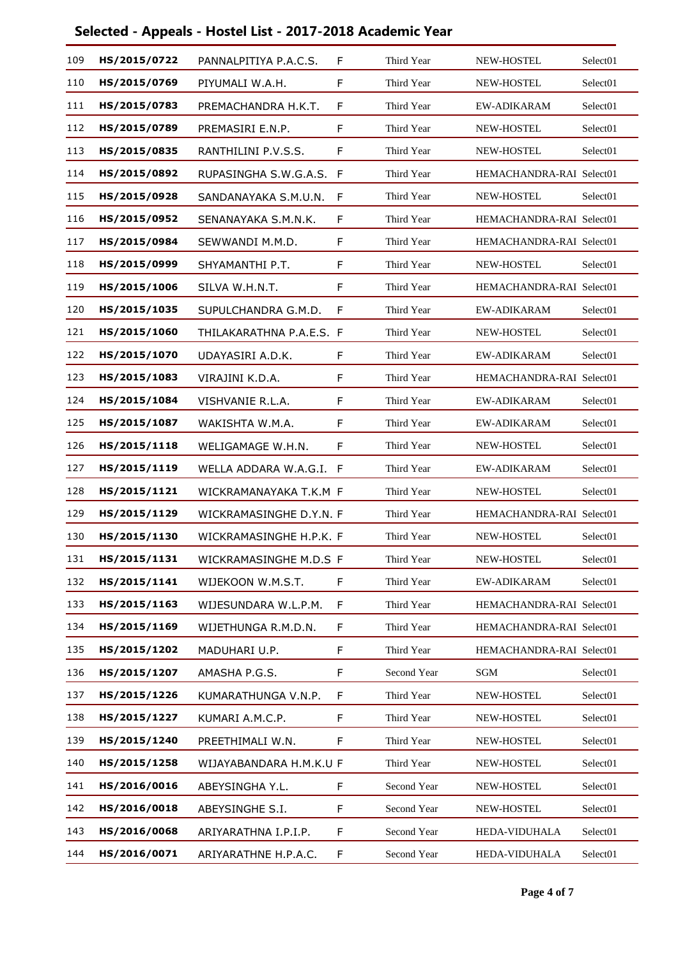| 109 | HS/2015/0722 | PANNALPITIYA P.A.C.S.    | F | Third Year  | NEW-HOSTEL               | Select <sub>01</sub> |
|-----|--------------|--------------------------|---|-------------|--------------------------|----------------------|
| 110 | HS/2015/0769 | PIYUMALI W.A.H.          | F | Third Year  | <b>NEW-HOSTEL</b>        | Select <sub>01</sub> |
| 111 | HS/2015/0783 | PREMACHANDRA H.K.T.      | F | Third Year  | <b>EW-ADIKARAM</b>       | Select <sub>01</sub> |
| 112 | HS/2015/0789 | PREMASIRI E.N.P.         | F | Third Year  | NEW-HOSTEL               | Select01             |
| 113 | HS/2015/0835 | RANTHILINI P.V.S.S.      | F | Third Year  | <b>NEW-HOSTEL</b>        | Select01             |
| 114 | HS/2015/0892 | RUPASINGHA S.W.G.A.S.    | F | Third Year  | HEMACHANDRA-RAI Select01 |                      |
| 115 | HS/2015/0928 | SANDANAYAKA S.M.U.N.     | F | Third Year  | NEW-HOSTEL               | Select <sub>01</sub> |
| 116 | HS/2015/0952 | SENANAYAKA S.M.N.K.      | F | Third Year  | HEMACHANDRA-RAI Select01 |                      |
| 117 | HS/2015/0984 | SEWWANDI M.M.D.          | F | Third Year  | HEMACHANDRA-RAI Select01 |                      |
| 118 | HS/2015/0999 | SHYAMANTHI P.T.          | F | Third Year  | NEW-HOSTEL               | Select <sub>01</sub> |
| 119 | HS/2015/1006 | SILVA W.H.N.T.           | F | Third Year  | HEMACHANDRA-RAI Select01 |                      |
| 120 | HS/2015/1035 | SUPULCHANDRA G.M.D.      | F | Third Year  | <b>EW-ADIKARAM</b>       | Select01             |
| 121 | HS/2015/1060 | THILAKARATHNA P.A.E.S. F |   | Third Year  | NEW-HOSTEL               | Select01             |
| 122 | HS/2015/1070 | UDAYASIRI A.D.K.         | F | Third Year  | <b>EW-ADIKARAM</b>       | Select <sub>01</sub> |
| 123 | HS/2015/1083 | VIRAJINI K.D.A.          | F | Third Year  | HEMACHANDRA-RAI Select01 |                      |
| 124 | HS/2015/1084 | VISHVANIE R.L.A.         | F | Third Year  | EW-ADIKARAM              | Select <sub>01</sub> |
| 125 | HS/2015/1087 | WAKISHTA W.M.A.          | F | Third Year  | EW-ADIKARAM              | Select <sub>01</sub> |
| 126 | HS/2015/1118 | WELIGAMAGE W.H.N.        | F | Third Year  | NEW-HOSTEL               | Select <sub>01</sub> |
| 127 | HS/2015/1119 | WELLA ADDARA W.A.G.I. F  |   | Third Year  | EW-ADIKARAM              | Select01             |
| 128 | HS/2015/1121 | WICKRAMANAYAKA T.K.M F   |   | Third Year  | NEW-HOSTEL               | Select <sub>01</sub> |
| 129 | HS/2015/1129 | WICKRAMASINGHE D.Y.N. F  |   | Third Year  | HEMACHANDRA-RAI Select01 |                      |
| 130 | HS/2015/1130 | WICKRAMASINGHE H.P.K. F  |   | Third Year  | NEW-HOSTEL               | Select01             |
| 131 | HS/2015/1131 | WICKRAMASINGHE M.D.S F   |   | Third Year  | NEW-HOSTEL               | Select01             |
| 132 | HS/2015/1141 | WIJEKOON W.M.S.T.        | F | Third Year  | EW-ADIKARAM              | Select <sub>01</sub> |
| 133 | HS/2015/1163 | WIJESUNDARA W.L.P.M.     | F | Third Year  | HEMACHANDRA-RAI Select01 |                      |
| 134 | HS/2015/1169 | WIJETHUNGA R.M.D.N.      | F | Third Year  | HEMACHANDRA-RAI Select01 |                      |
| 135 | HS/2015/1202 | MADUHARI U.P.            | F | Third Year  | HEMACHANDRA-RAI Select01 |                      |
| 136 | HS/2015/1207 | AMASHA P.G.S.            | F | Second Year | SGM                      | Select <sub>01</sub> |
| 137 | HS/2015/1226 | KUMARATHUNGA V.N.P.      | F | Third Year  | NEW-HOSTEL               | Select <sub>01</sub> |
| 138 | HS/2015/1227 | KUMARI A.M.C.P.          | F | Third Year  | NEW-HOSTEL               | Select01             |
| 139 | HS/2015/1240 | PREETHIMALI W.N.         | F | Third Year  | NEW-HOSTEL               | Select01             |
| 140 | HS/2015/1258 | WIJAYABANDARA H.M.K.U F  |   | Third Year  | NEW-HOSTEL               | Select <sub>01</sub> |
| 141 | HS/2016/0016 | ABEYSINGHA Y.L.          | F | Second Year | NEW-HOSTEL               | Select <sub>01</sub> |
| 142 | HS/2016/0018 | ABEYSINGHE S.I.          | F | Second Year | NEW-HOSTEL               | Select01             |
| 143 | HS/2016/0068 | ARIYARATHNA I.P.I.P.     | F | Second Year | HEDA-VIDUHALA            | Select <sub>01</sub> |
| 144 | HS/2016/0071 | ARIYARATHNE H.P.A.C.     | F | Second Year | HEDA-VIDUHALA            | Select01             |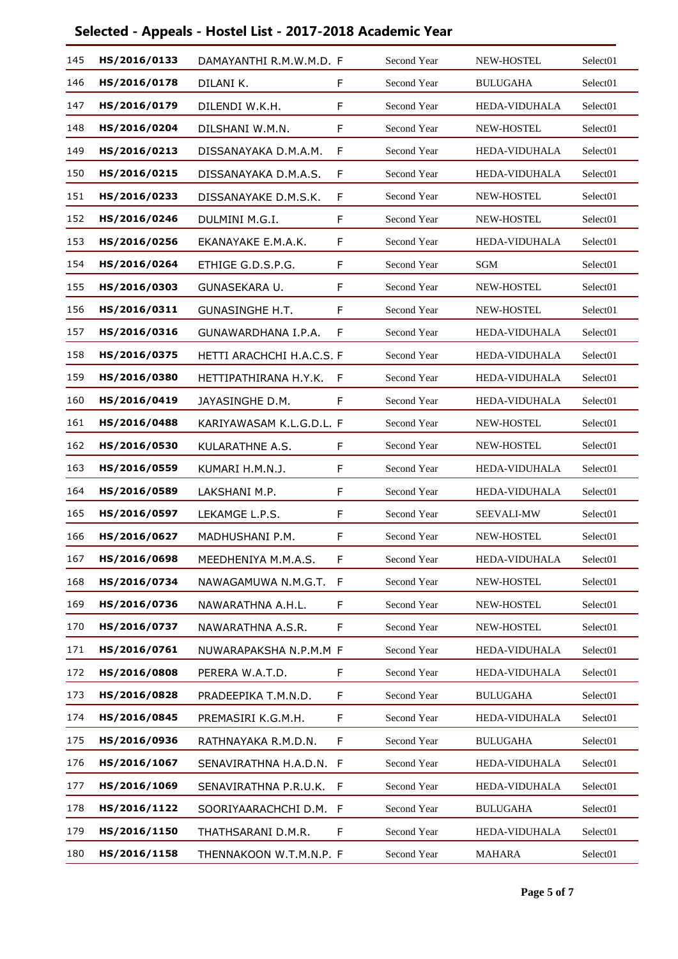| 145 | HS/2016/0133 | DAMAYANTHI R.M.W.M.D. F   |             | Second Year | NEW-HOSTEL        | Select <sub>01</sub> |
|-----|--------------|---------------------------|-------------|-------------|-------------------|----------------------|
| 146 | HS/2016/0178 | DILANI K.                 | F           | Second Year | <b>BULUGAHA</b>   | Select01             |
| 147 | HS/2016/0179 | DILENDI W.K.H.            | F           | Second Year | HEDA-VIDUHALA     | Select <sub>01</sub> |
| 148 | HS/2016/0204 | DILSHANI W.M.N.           | F           | Second Year | NEW-HOSTEL        | Select <sub>01</sub> |
| 149 | HS/2016/0213 | DISSANAYAKA D.M.A.M.      | F           | Second Year | HEDA-VIDUHALA     | Select <sub>01</sub> |
| 150 | HS/2016/0215 | DISSANAYAKA D.M.A.S.      | F           | Second Year | HEDA-VIDUHALA     | Select01             |
| 151 | HS/2016/0233 | DISSANAYAKE D.M.S.K.      | F           | Second Year | NEW-HOSTEL        | Select <sub>01</sub> |
| 152 | HS/2016/0246 | DULMINI M.G.I.            | F           | Second Year | NEW-HOSTEL        | Select01             |
| 153 | HS/2016/0256 | EKANAYAKE E.M.A.K.        | F           | Second Year | HEDA-VIDUHALA     | Select <sub>01</sub> |
| 154 | HS/2016/0264 | ETHIGE G.D.S.P.G.         | F           | Second Year | <b>SGM</b>        | Select <sub>01</sub> |
| 155 | HS/2016/0303 | GUNASEKARA U.             | F           | Second Year | NEW-HOSTEL        | Select01             |
| 156 | HS/2016/0311 | <b>GUNASINGHE H.T.</b>    | F           | Second Year | NEW-HOSTEL        | Select <sub>01</sub> |
| 157 | HS/2016/0316 | GUNAWARDHANA I.P.A.       | F           | Second Year | HEDA-VIDUHALA     | Select <sub>01</sub> |
| 158 | HS/2016/0375 | HETTI ARACHCHI H.A.C.S. F |             | Second Year | HEDA-VIDUHALA     | Select <sub>01</sub> |
| 159 | HS/2016/0380 | HETTIPATHIRANA H.Y.K.     | F           | Second Year | HEDA-VIDUHALA     | Select <sub>01</sub> |
| 160 | HS/2016/0419 | JAYASINGHE D.M.           | F           | Second Year | HEDA-VIDUHALA     | Select <sub>01</sub> |
| 161 | HS/2016/0488 | KARIYAWASAM K.L.G.D.L. F  |             | Second Year | NEW-HOSTEL        | Select <sub>01</sub> |
| 162 | HS/2016/0530 | KULARATHNE A.S.           | F           | Second Year | <b>NEW-HOSTEL</b> | Select01             |
| 163 | HS/2016/0559 | KUMARI H.M.N.J.           | F           | Second Year | HEDA-VIDUHALA     | Select <sub>01</sub> |
| 164 | HS/2016/0589 | LAKSHANI M.P.             | F           | Second Year | HEDA-VIDUHALA     | Select <sub>01</sub> |
| 165 | HS/2016/0597 | LEKAMGE L.P.S.            | F           | Second Year | SEEVALI-MW        | Select <sub>01</sub> |
| 166 | HS/2016/0627 | MADHUSHANI P.M.           | F           | Second Year | NEW-HOSTEL        | Select01             |
| 167 | HS/2016/0698 | MEEDHENIYA M.M.A.S.       | F           | Second Year | HEDA-VIDUHALA     | Select01             |
| 168 | HS/2016/0734 | NAWAGAMUWA N.M.G.T.       | F           | Second Year | NEW-HOSTEL        | Select01             |
| 169 | HS/2016/0736 | NAWARATHNA A.H.L.         | F           | Second Year | NEW-HOSTEL        | Select01             |
| 170 | HS/2016/0737 | NAWARATHNA A.S.R.         | F           | Second Year | NEW-HOSTEL        | Select01             |
| 171 | HS/2016/0761 | NUWARAPAKSHA N.P.M.M F    |             | Second Year | HEDA-VIDUHALA     | Select01             |
| 172 | HS/2016/0808 | PERERA W.A.T.D.           | F           | Second Year | HEDA-VIDUHALA     | Select01             |
| 173 | HS/2016/0828 | PRADEEPIKA T.M.N.D.       | F           | Second Year | <b>BULUGAHA</b>   | Select <sub>01</sub> |
| 174 | HS/2016/0845 | PREMASIRI K.G.M.H.        | F.          | Second Year | HEDA-VIDUHALA     | Select <sub>01</sub> |
| 175 | HS/2016/0936 | RATHNAYAKA R.M.D.N.       | F.          | Second Year | <b>BULUGAHA</b>   | Select <sub>01</sub> |
| 176 | HS/2016/1067 | SENAVIRATHNA H.A.D.N. F   |             | Second Year | HEDA-VIDUHALA     | Select <sub>01</sub> |
| 177 | HS/2016/1069 | SENAVIRATHNA P.R.U.K.     | F           | Second Year | HEDA-VIDUHALA     | Select01             |
| 178 | HS/2016/1122 | SOORIYAARACHCHI D.M.      | $\mathsf F$ | Second Year | <b>BULUGAHA</b>   | Select <sub>01</sub> |
| 179 | HS/2016/1150 | THATHSARANI D.M.R.        | F           | Second Year | HEDA-VIDUHALA     | Select <sub>01</sub> |
| 180 | HS/2016/1158 | THENNAKOON W.T.M.N.P. F   |             | Second Year | <b>MAHARA</b>     | Select01             |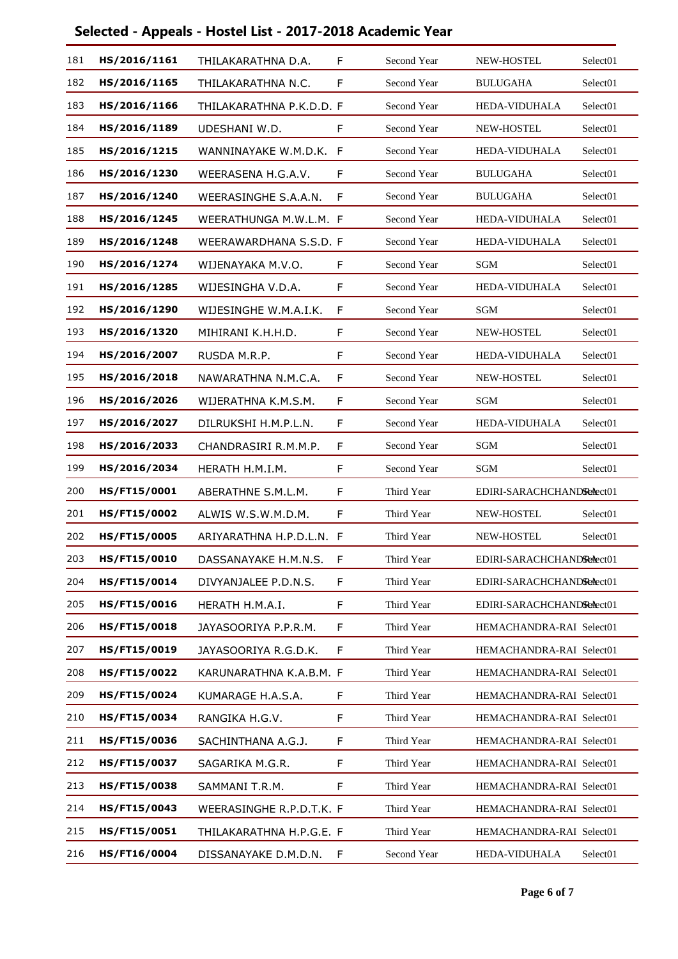| 181 | HS/2016/1161        | THILAKARATHNA D.A.       | F  | Second Year | NEW-HOSTEL                | Select <sub>01</sub> |
|-----|---------------------|--------------------------|----|-------------|---------------------------|----------------------|
| 182 | HS/2016/1165        | THILAKARATHNA N.C.       | F  | Second Year | <b>BULUGAHA</b>           | Select <sub>01</sub> |
| 183 | HS/2016/1166        | THILAKARATHNA P.K.D.D. F |    | Second Year | HEDA-VIDUHALA             | Select <sub>01</sub> |
| 184 | HS/2016/1189        | UDESHANI W.D.            | F  | Second Year | NEW-HOSTEL                | Select01             |
| 185 | HS/2016/1215        | WANNINAYAKE W.M.D.K.     | F  | Second Year | <b>HEDA-VIDUHALA</b>      | Select <sub>01</sub> |
| 186 | HS/2016/1230        | WEERASENA H.G.A.V.       | F  | Second Year | <b>BULUGAHA</b>           | Select <sub>01</sub> |
| 187 | HS/2016/1240        | WEERASINGHE S.A.A.N.     | F  | Second Year | <b>BULUGAHA</b>           | Select <sub>01</sub> |
| 188 | HS/2016/1245        | WEERATHUNGA M.W.L.M. F   |    | Second Year | <b>HEDA-VIDUHALA</b>      | Select <sub>01</sub> |
| 189 | HS/2016/1248        | WEERAWARDHANA S.S.D. F   |    | Second Year | HEDA-VIDUHALA             | Select <sub>01</sub> |
| 190 | HS/2016/1274        | WIJENAYAKA M.V.O.        | F  | Second Year | SGM                       | Select01             |
| 191 | HS/2016/1285        | WIJESINGHA V.D.A.        | F  | Second Year | HEDA-VIDUHALA             | Select <sub>01</sub> |
| 192 | HS/2016/1290        | WIJESINGHE W.M.A.I.K.    | F  | Second Year | <b>SGM</b>                | Select <sub>01</sub> |
| 193 | HS/2016/1320        | MIHIRANI K.H.H.D.        | F  | Second Year | NEW-HOSTEL                | Select <sub>01</sub> |
| 194 | HS/2016/2007        | RUSDA M.R.P.             | F  | Second Year | <b>HEDA-VIDUHALA</b>      | Select <sub>01</sub> |
| 195 | HS/2016/2018        | NAWARATHNA N.M.C.A.      | F  | Second Year | NEW-HOSTEL                | Select <sub>01</sub> |
| 196 | HS/2016/2026        | WIJERATHNA K.M.S.M.      | F  | Second Year | <b>SGM</b>                | Select <sub>01</sub> |
| 197 | HS/2016/2027        | DILRUKSHI H.M.P.L.N.     | F  | Second Year | HEDA-VIDUHALA             | Select <sub>01</sub> |
| 198 | HS/2016/2033        | CHANDRASIRI R.M.M.P.     | F  | Second Year | SGM                       | Select01             |
| 199 | HS/2016/2034        | HERATH H.M.I.M.          | F  | Second Year | SGM                       | Select <sub>01</sub> |
| 200 | HS/FT15/0001        | ABERATHNE S.M.L.M.       | F  | Third Year  | EDIRI-SARACHCHANDRedect01 |                      |
| 201 | <b>HS/FT15/0002</b> | ALWIS W.S.W.M.D.M.       | F  | Third Year  | <b>NEW-HOSTEL</b>         | Select <sub>01</sub> |
| 202 | <b>HS/FT15/0005</b> | ARIYARATHNA H.P.D.L.N.   | F  | Third Year  | NEW-HOSTEL                | Select <sub>01</sub> |
| 203 | HS/FT15/0010        | DASSANAYAKE H.M.N.S.     |    | Third Year  | EDIRI-SARACHCHANDRedect01 |                      |
| 204 | HS/FT15/0014        | DIVYANJALEE P.D.N.S.     | F. | Third Year  | EDIRI-SARACHCHANDRedect01 |                      |
| 205 | <b>HS/FT15/0016</b> | HERATH H.M.A.I.          | F  | Third Year  | EDIRI-SARACHCHANDRedect01 |                      |
| 206 | HS/FT15/0018        | JAYASOORIYA P.P.R.M.     | F  | Third Year  | HEMACHANDRA-RAI Select01  |                      |
| 207 | HS/FT15/0019        | JAYASOORIYA R.G.D.K.     | F  | Third Year  | HEMACHANDRA-RAI Select01  |                      |
| 208 | <b>HS/FT15/0022</b> | KARUNARATHNA K.A.B.M. F  |    | Third Year  | HEMACHANDRA-RAI Select01  |                      |
| 209 | HS/FT15/0024        | KUMARAGE H.A.S.A.        | F  | Third Year  | HEMACHANDRA-RAI Select01  |                      |
| 210 | HS/FT15/0034        | RANGIKA H.G.V.           | F  | Third Year  | HEMACHANDRA-RAI Select01  |                      |
| 211 | HS/FT15/0036        | SACHINTHANA A.G.J.       | F  | Third Year  | HEMACHANDRA-RAI Select01  |                      |
| 212 | <b>HS/FT15/0037</b> | SAGARIKA M.G.R.          | F  | Third Year  | HEMACHANDRA-RAI Select01  |                      |
| 213 | HS/FT15/0038        | SAMMANI T.R.M.           | F  | Third Year  | HEMACHANDRA-RAI Select01  |                      |
| 214 | HS/FT15/0043        | WEERASINGHE R.P.D.T.K. F |    | Third Year  | HEMACHANDRA-RAI Select01  |                      |
| 215 | <b>HS/FT15/0051</b> | THILAKARATHNA H.P.G.E. F |    | Third Year  | HEMACHANDRA-RAI Select01  |                      |
| 216 | HS/FT16/0004        | DISSANAYAKE D.M.D.N.     | F  | Second Year | HEDA-VIDUHALA             | Select <sub>01</sub> |